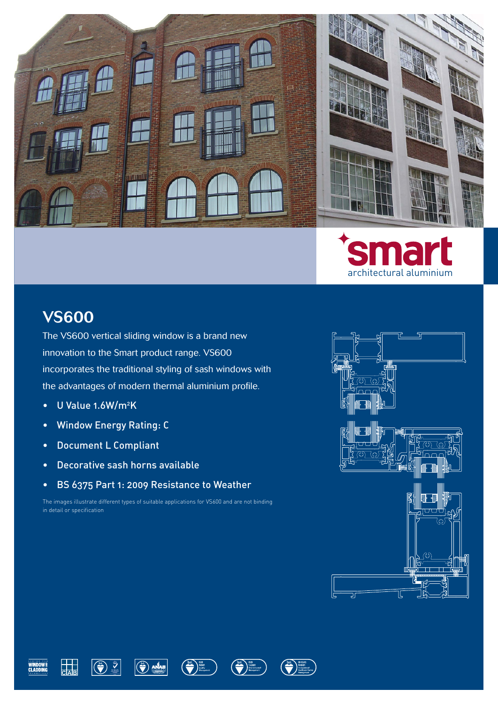



## VS600

The VS600 vertical sliding window is a brand new innovation to the Smart product range. VS600 incorporates the traditional styling of sash windows with the advantages of modern thermal aluminium profile.

- U Value 1.6W/m<sup>2</sup>K
- Window Energy Rating: C
- Document L Compliant
- Decorative sash horns available
- BS 6375 Part 1: 2009 Resistance to Weather

The images illustrate different types of suitable applications for VS600 and are not binding in detail or specification





 $\frac{1}{\text{CAB}}$ 





 $\left(\begin{matrix}bsi\\ 0\\ \hline\\ \hline\\ \end{matrix}\right)_{\begin{matrix} h\Omega\\ h\Omega\Omega\\ h\Omega\Omega\Omega\end{matrix}}^{b\Omega}$